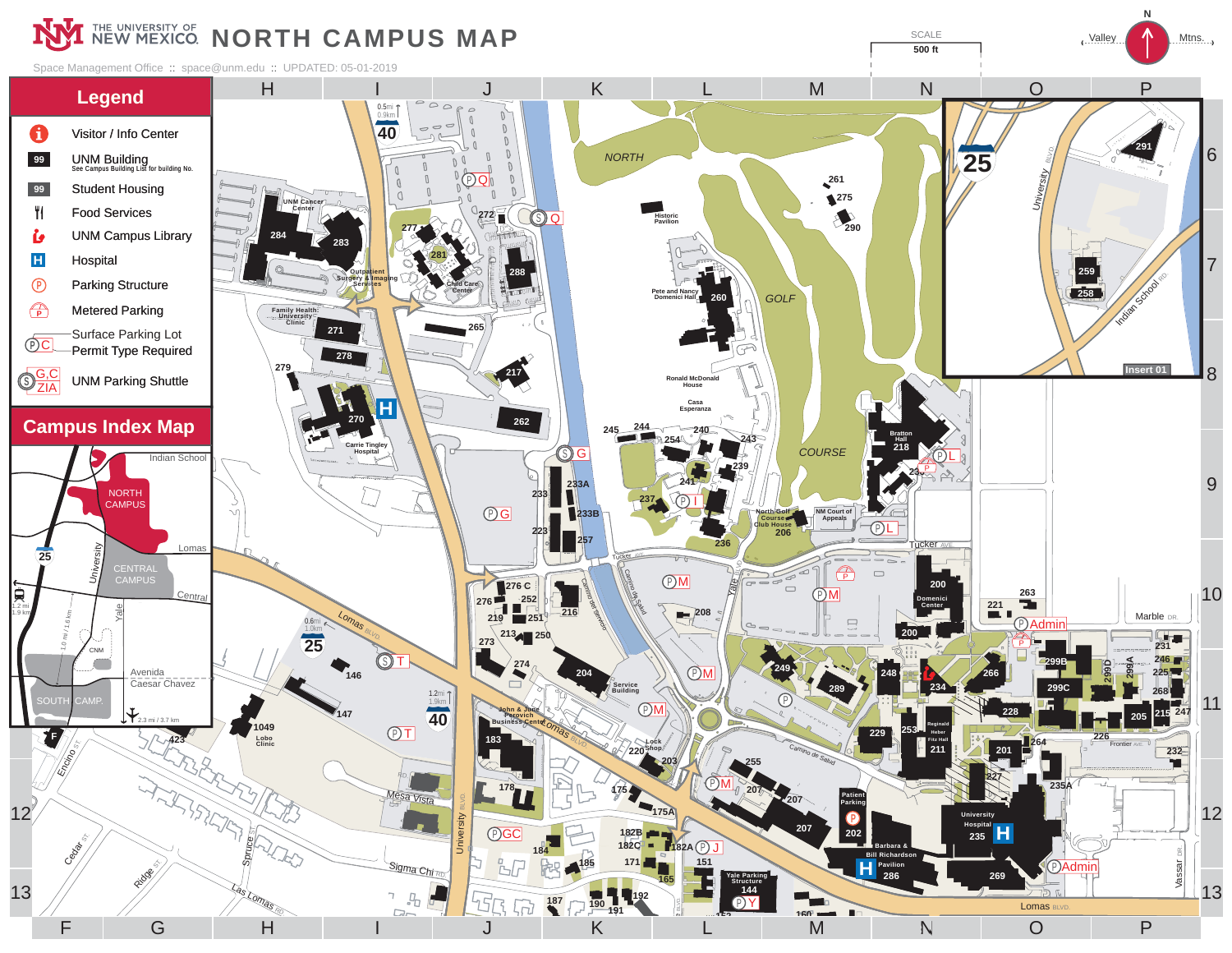